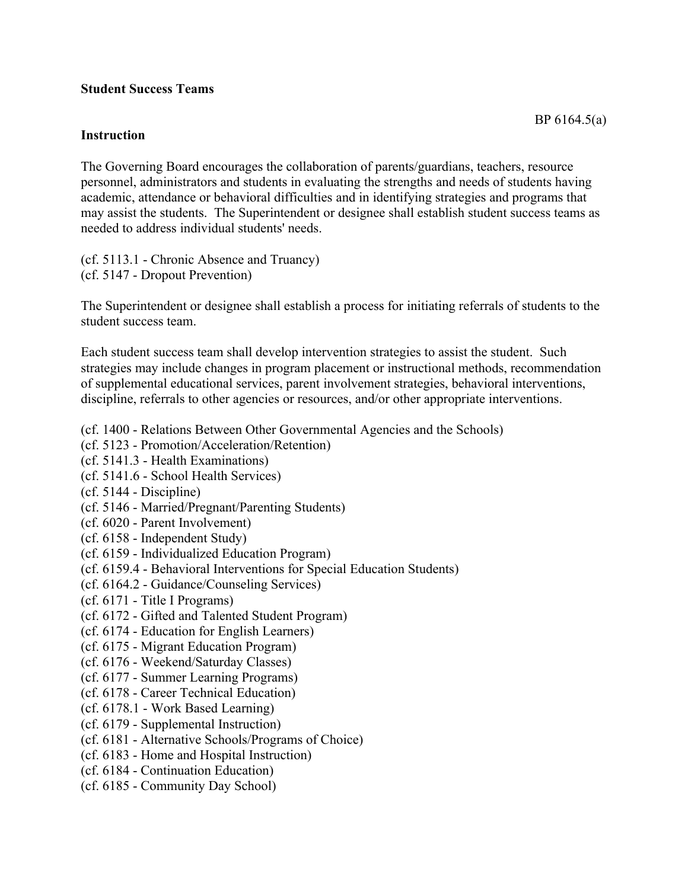## **Student Success Teams**

## **Instruction**

The Governing Board encourages the collaboration of parents/guardians, teachers, resource personnel, administrators and students in evaluating the strengths and needs of students having academic, attendance or behavioral difficulties and in identifying strategies and programs that may assist the students. The Superintendent or designee shall establish student success teams as needed to address individual students' needs.

(cf. 5113.1 - Chronic Absence and Truancy) (cf. 5147 - Dropout Prevention)

The Superintendent or designee shall establish a process for initiating referrals of students to the student success team.

Each student success team shall develop intervention strategies to assist the student. Such strategies may include changes in program placement or instructional methods, recommendation of supplemental educational services, parent involvement strategies, behavioral interventions, discipline, referrals to other agencies or resources, and/or other appropriate interventions.

- (cf. 1400 Relations Between Other Governmental Agencies and the Schools)
- (cf. 5123 Promotion/Acceleration/Retention)
- (cf. 5141.3 Health Examinations)
- (cf. 5141.6 School Health Services)
- (cf. 5144 Discipline)
- (cf. 5146 Married/Pregnant/Parenting Students)
- (cf. 6020 Parent Involvement)
- (cf. 6158 Independent Study)
- (cf. 6159 Individualized Education Program)
- (cf. 6159.4 Behavioral Interventions for Special Education Students)
- (cf. 6164.2 Guidance/Counseling Services)
- (cf. 6171 Title I Programs)
- (cf. 6172 Gifted and Talented Student Program)
- (cf. 6174 Education for English Learners)
- (cf. 6175 Migrant Education Program)
- (cf. 6176 Weekend/Saturday Classes)
- (cf. 6177 Summer Learning Programs)
- (cf. 6178 Career Technical Education)
- (cf. 6178.1 Work Based Learning)
- (cf. 6179 Supplemental Instruction)
- (cf. 6181 Alternative Schools/Programs of Choice)
- (cf. 6183 Home and Hospital Instruction)
- (cf. 6184 Continuation Education)
- (cf. 6185 Community Day School)